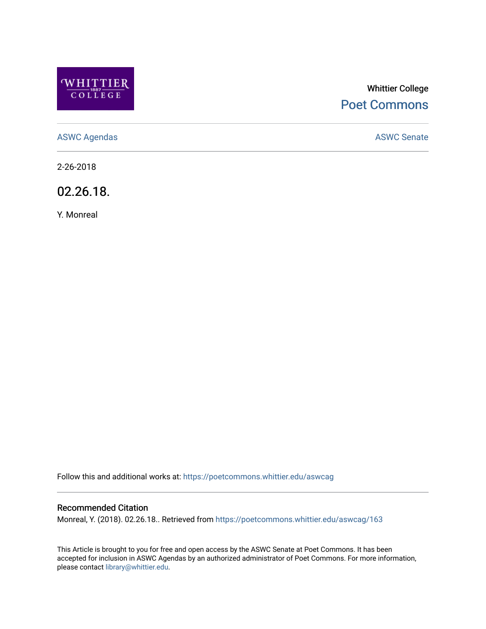

# Whittier College [Poet Commons](https://poetcommons.whittier.edu/)

[ASWC Agendas](https://poetcommons.whittier.edu/aswcag) **ASWC Senate** 

2-26-2018

02.26.18.

Y. Monreal

Follow this and additional works at: [https://poetcommons.whittier.edu/aswcag](https://poetcommons.whittier.edu/aswcag?utm_source=poetcommons.whittier.edu%2Faswcag%2F163&utm_medium=PDF&utm_campaign=PDFCoverPages) 

# Recommended Citation

Monreal, Y. (2018). 02.26.18.. Retrieved from [https://poetcommons.whittier.edu/aswcag/163](https://poetcommons.whittier.edu/aswcag/163?utm_source=poetcommons.whittier.edu%2Faswcag%2F163&utm_medium=PDF&utm_campaign=PDFCoverPages) 

This Article is brought to you for free and open access by the ASWC Senate at Poet Commons. It has been accepted for inclusion in ASWC Agendas by an authorized administrator of Poet Commons. For more information, please contact [library@whittier.edu](mailto:library@whittier.edu).